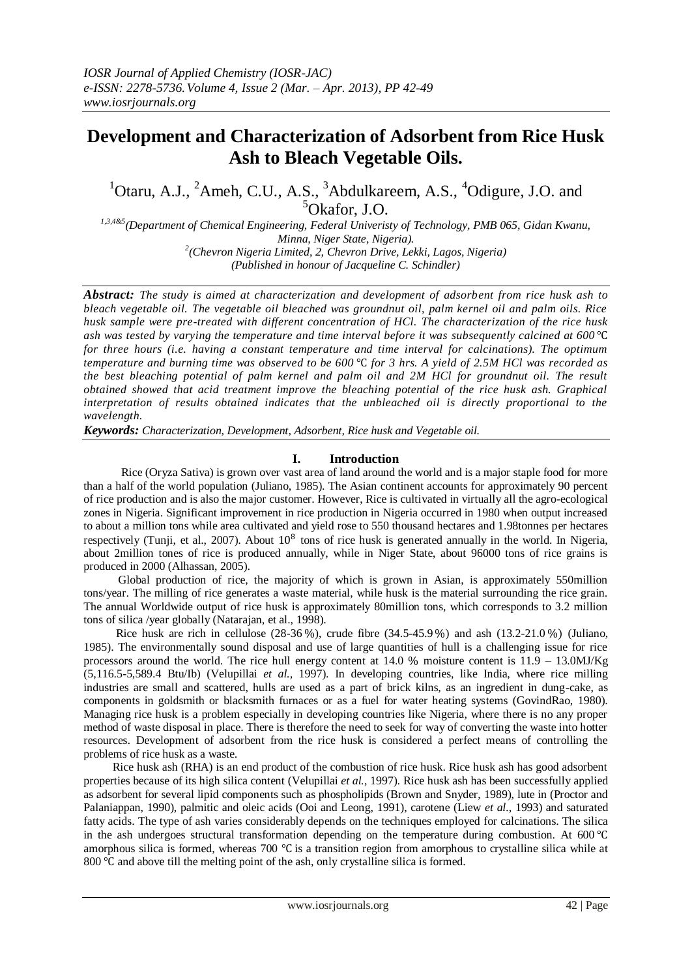# **Development and Characterization of Adsorbent from Rice Husk Ash to Bleach Vegetable Oils.**

# $1$ Otaru, A.J.,  $2$ Ameh, C.U., A.S.,  $3$ Abdulkareem, A.S.,  $4$ Odigure, J.O. and  $5$ Okafor, J.O.

*1,3,4&5(Department of Chemical Engineering, Federal Univeristy of Technology, PMB 065, Gidan Kwanu, Minna, Niger State, Nigeria). 2 (Chevron Nigeria Limited, 2, Chevron Drive, Lekki, Lagos, Nigeria) (Published in honour of Jacqueline C. Schindler)*

*Abstract: The study is aimed at characterization and development of adsorbent from rice husk ash to bleach vegetable oil. The vegetable oil bleached was groundnut oil, palm kernel oil and palm oils. Rice husk sample were pre-treated with different concentration of HCl. The characterization of the rice husk ash was tested by varying the temperature and time interval before it was subsequently calcined at 600* ℃ *for three hours (i.e. having a constant temperature and time interval for calcinations). The optimum temperature and burning time was observed to be 600* ℃ *for 3 hrs. A yield of 2.5M HCl was recorded as the best bleaching potential of palm kernel and palm oil and 2M HCl for groundnut oil. The result obtained showed that acid treatment improve the bleaching potential of the rice husk ash. Graphical interpretation of results obtained indicates that the unbleached oil is directly proportional to the wavelength.*

*Keywords: Characterization, Development, Adsorbent, Rice husk and Vegetable oil.*

# **I. Introduction**

 Rice (Oryza Sativa) is grown over vast area of land around the world and is a major staple food for more than a half of the world population (Juliano, 1985). The Asian continent accounts for approximately 90 percent of rice production and is also the major customer. However, Rice is cultivated in virtually all the agro-ecological zones in Nigeria. Significant improvement in rice production in Nigeria occurred in 1980 when output increased to about a million tons while area cultivated and yield rose to 550 thousand hectares and 1.98tonnes per hectares respectively (Tunji, et al., 2007). About  $10^8$  tons of rice husk is generated annually in the world. In Nigeria, about 2million tones of rice is produced annually, while in Niger State, about 96000 tons of rice grains is produced in 2000 (Alhassan, 2005).

 Global production of rice, the majority of which is grown in Asian, is approximately 550million tons/year. The milling of rice generates a waste material, while husk is the material surrounding the rice grain. The annual Worldwide output of rice husk is approximately 80million tons, which corresponds to 3.2 million tons of silica /year globally (Natarajan, et al., 1998).

 Rice husk are rich in cellulose (28-36 %), crude fibre (34.5-45.9 %) and ash (13.2-21.0 %) (Juliano, 1985). The environmentally sound disposal and use of large quantities of hull is a challenging issue for rice processors around the world. The rice hull energy content at 14.0 % moisture content is 11.9 – 13.0MJ/Kg (5,116.5-5,589.4 Btu/Ib) (Velupillai *et al.,* 1997). In developing countries, like India, where rice milling industries are small and scattered, hulls are used as a part of brick kilns, as an ingredient in dung-cake, as components in goldsmith or blacksmith furnaces or as a fuel for water heating systems (GovindRao, 1980). Managing rice husk is a problem especially in developing countries like Nigeria, where there is no any proper method of waste disposal in place. There is therefore the need to seek for way of converting the waste into hotter resources. Development of adsorbent from the rice husk is considered a perfect means of controlling the problems of rice husk as a waste.

 Rice husk ash (RHA) is an end product of the combustion of rice husk. Rice husk ash has good adsorbent properties because of its high silica content (Velupillai *et al.,* 1997). Rice husk ash has been successfully applied as adsorbent for several lipid components such as phospholipids (Brown and Snyder, 1989), lute in (Proctor and Palaniappan, 1990), palmitic and oleic acids (Ooi and Leong, 1991), carotene (Liew *et al.,* 1993) and saturated fatty acids. The type of ash varies considerably depends on the techniques employed for calcinations. The silica in the ash undergoes structural transformation depending on the temperature during combustion. At 600 ℃ amorphous silica is formed, whereas 700 ℃ is a transition region from amorphous to crystalline silica while at 800 °C and above till the melting point of the ash, only crystalline silica is formed.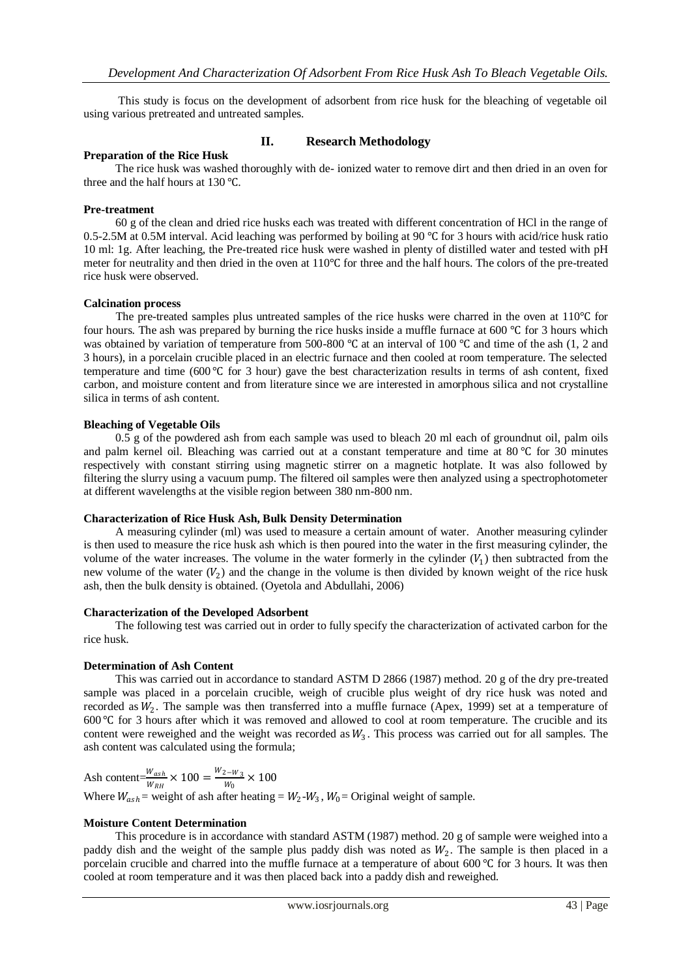This study is focus on the development of adsorbent from rice husk for the bleaching of vegetable oil using various pretreated and untreated samples.

# **Preparation of the Rice Husk**

# **II. Research Methodology**

 The rice husk was washed thoroughly with de- ionized water to remove dirt and then dried in an oven for three and the half hours at 130 ℃.

## **Pre-treatment**

 60 g of the clean and dried rice husks each was treated with different concentration of HCl in the range of 0.5-2.5M at 0.5M interval. Acid leaching was performed by boiling at 90 ℃ for 3 hours with acid/rice husk ratio 10 ml: 1g. After leaching, the Pre-treated rice husk were washed in plenty of distilled water and tested with pH meter for neutrality and then dried in the oven at 110℃ for three and the half hours. The colors of the pre-treated rice husk were observed.

#### **Calcination process**

 The pre-treated samples plus untreated samples of the rice husks were charred in the oven at 110℃ for four hours. The ash was prepared by burning the rice husks inside a muffle furnace at 600 ℃ for 3 hours which was obtained by variation of temperature from 500-800 ℃ at an interval of 100 ℃ and time of the ash (1, 2 and 3 hours), in a porcelain crucible placed in an electric furnace and then cooled at room temperature. The selected temperature and time (600 ℃ for 3 hour) gave the best characterization results in terms of ash content, fixed carbon, and moisture content and from literature since we are interested in amorphous silica and not crystalline silica in terms of ash content.

## **Bleaching of Vegetable Oils**

 0.5 g of the powdered ash from each sample was used to bleach 20 ml each of groundnut oil, palm oils and palm kernel oil. Bleaching was carried out at a constant temperature and time at 80 ℃ for 30 minutes respectively with constant stirring using magnetic stirrer on a magnetic hotplate. It was also followed by filtering the slurry using a vacuum pump. The filtered oil samples were then analyzed using a spectrophotometer at different wavelengths at the visible region between 380 nm-800 nm.

#### **Characterization of Rice Husk Ash, Bulk Density Determination**

 A measuring cylinder (ml) was used to measure a certain amount of water. Another measuring cylinder is then used to measure the rice husk ash which is then poured into the water in the first measuring cylinder, the volume of the water increases. The volume in the water formerly in the cylinder  $(V_1)$  then subtracted from the new volume of the water  $(V_2)$  and the change in the volume is then divided by known weight of the rice husk ash, then the bulk density is obtained. (Oyetola and Abdullahi, 2006)

#### **Characterization of the Developed Adsorbent**

 The following test was carried out in order to fully specify the characterization of activated carbon for the rice husk.

#### **Determination of Ash Content**

 This was carried out in accordance to standard ASTM D 2866 (1987) method. 20 g of the dry pre-treated sample was placed in a porcelain crucible, weigh of crucible plus weight of dry rice husk was noted and recorded as  $W_2$ . The sample was then transferred into a muffle furnace (Apex, 1999) set at a temperature of 600 ℃ for 3 hours after which it was removed and allowed to cool at room temperature. The crucible and its content were reweighed and the weight was recorded as  $W_3$ . This process was carried out for all samples. The ash content was calculated using the formula;

Ash content= $\frac{W_{ash}}{W_{RH}} \times 100 = \frac{W_{2-W_3}}{W_0}$  $\frac{z-w_3}{w_0}$  × 100 Where  $W_{ash}$  = weight of ash after heating =  $W_2-W_3$ ,  $W_0$  = Original weight of sample.

# **Moisture Content Determination**

 This procedure is in accordance with standard ASTM (1987) method. 20 g of sample were weighed into a paddy dish and the weight of the sample plus paddy dish was noted as  $W_2$ . The sample is then placed in a porcelain crucible and charred into the muffle furnace at a temperature of about 600 ℃ for 3 hours. It was then cooled at room temperature and it was then placed back into a paddy dish and reweighed.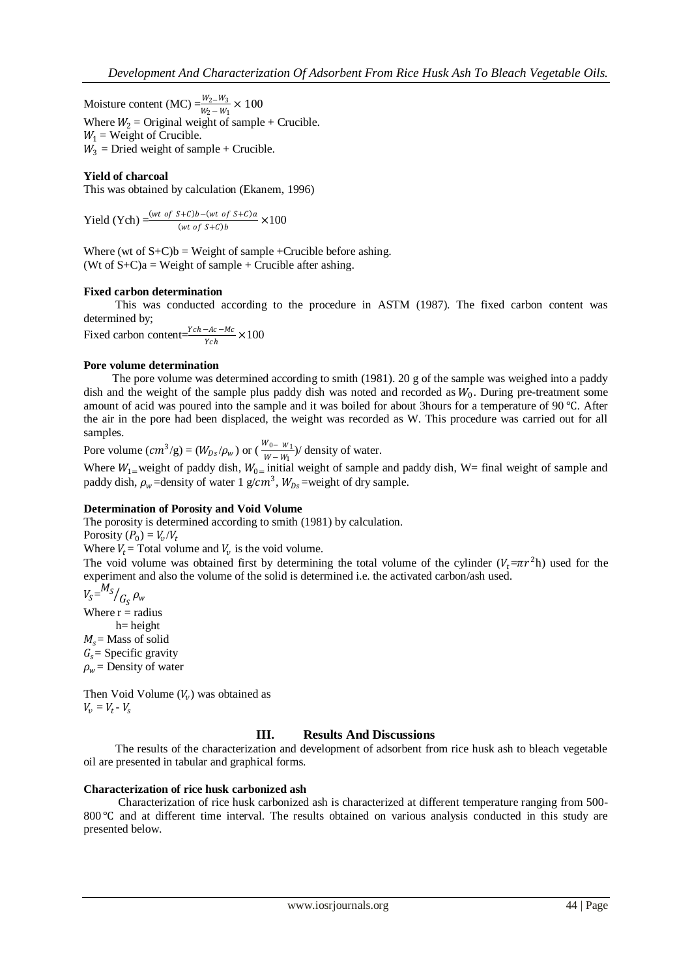Moisture content (MC)  $= \frac{W_2 - W_3}{W_2 - W_1} \times 100$ Where  $W_2$  = Original weight of sample + Crucible.  $W_1$  = Weight of Crucible.  $W_3$  = Dried weight of sample + Crucible.

## **Yield of charcoal**

This was obtained by calculation (Ekanem, 1996)

Yield (Ych)  $= \frac{(wt\ of\ S+C)b-(wt\ of\ S+C)a}{(wt\ of\ S+C)b} \times 100$ 

Where (wt of  $S+C$ )b = Weight of sample +Crucible before ashing. (Wt of  $S+C$ )a = Weight of sample + Crucible after ashing.

#### **Fixed carbon determination**

 This was conducted according to the procedure in ASTM (1987). The fixed carbon content was determined by;

Fixed carbon content= $\frac{Ych-Ac-Mc}{Ych} \times 100$ 

#### **Pore volume determination**

 The pore volume was determined according to smith (1981). 20 g of the sample was weighed into a paddy dish and the weight of the sample plus paddy dish was noted and recorded as  $W_0$ . During pre-treatment some amount of acid was poured into the sample and it was boiled for about 3hours for a temperature of 90 ℃. After the air in the pore had been displaced, the weight was recorded as W. This procedure was carried out for all samples.

Pore volume  $(cm^3/g) = (W_{DS}/\rho_w)$  or  $(\frac{W_{0}-W_1}{W_{0}-W_0})$  $\frac{v_0 - w_1}{w - w_1}$ ) density of water.

Where  $W_{1}$ =weight of paddy dish,  $W_{0}$ = initial weight of sample and paddy dish, W= final weight of sample and paddy dish,  $\rho_w$ =density of water 1 g/cm<sup>3</sup>,  $W_{Ds}$ =weight of dry sample.

#### **Determination of Porosity and Void Volume**

The porosity is determined according to smith (1981) by calculation.

Porosity  $(P_0) = V_v/V_t$ 

Where  $V_t$  = Total volume and  $V_v$  is the void volume.

The void volume was obtained first by determining the total volume of the cylinder  $(V_t = \pi r^2 h)$  used for the experiment and also the volume of the solid is determined i.e. the activated carbon/ash used.

 $V_S = M_S$  $\sqrt{G_S} \rho_w$ Where  $r =$  radius  $h$ = height  $M_s$  = Mass of solid  $G_s$  = Specific gravity  $\rho_w$  = Density of water

Then Void Volume  $(V_v)$  was obtained as  $V_v = V_t - V_s$ 

#### **III. Results And Discussions**

 The results of the characterization and development of adsorbent from rice husk ash to bleach vegetable oil are presented in tabular and graphical forms.

#### **Characterization of rice husk carbonized ash**

 Characterization of rice husk carbonized ash is characterized at different temperature ranging from 500- 800 ℃ and at different time interval. The results obtained on various analysis conducted in this study are presented below.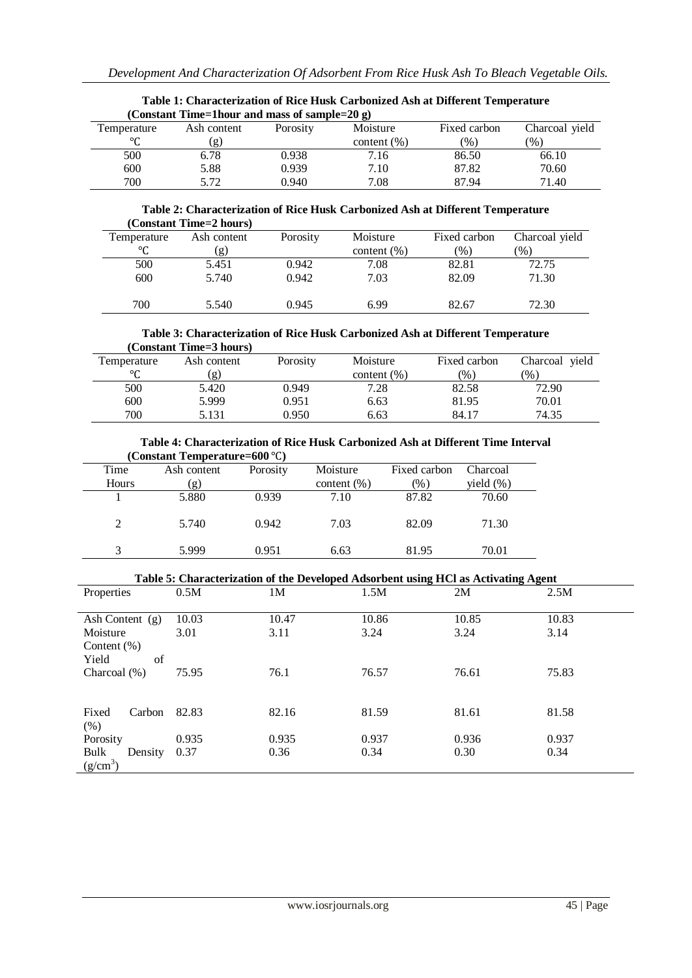| Table 1: Characterization of Kice Husk Carbonized Ash at Different Temperature |              |          |                 |              |                 |  |  |
|--------------------------------------------------------------------------------|--------------|----------|-----------------|--------------|-----------------|--|--|
| (Constant Time=1hour and mass of sample=20 g)                                  |              |          |                 |              |                 |  |  |
| Temperature                                                                    | Ash content  | Porosity | Moisture        | Fixed carbon | Charcoal yield  |  |  |
| ٥٢                                                                             | $\mathbf{g}$ |          | content $(\% )$ | $(\%)$       | $\mathcal{O}_0$ |  |  |
| 500                                                                            | 6.78         | 0.938    | 7.16            | 86.50        | 66.10           |  |  |
| 600                                                                            | 5.88         | 0.939    | 7.10            | 87.82        | 70.60           |  |  |
| 700                                                                            | 5.72         | 0.940    | 7.08            | 87.94        | 71.40           |  |  |

# **Table 1: Characterization of Rice Husk Carbonized Ash at Different Temperature**

#### **Table 2: Characterization of Rice Husk Carbonized Ash at Different Temperature (Constant Time=2 hours)**

| Temperature | Ash content | Porosity | Moisture        | Fixed carbon  | Charcoal yield |
|-------------|-------------|----------|-----------------|---------------|----------------|
| °C          | (g)         |          | content $(\% )$ | $\frac{1}{2}$ | (%)            |
| 500         | 5.451       | 0.942    | 7.08            | 82.81         | 72.75          |
| 600         | 5.740       | 0.942    | 7.03            | 82.09         | 71.30          |
|             |             |          |                 |               |                |
| 700         | 5.540       | 0.945    | 6.99            | 82.67         | 72.30          |

#### **Table 3: Characterization of Rice Husk Carbonized Ash at Different Temperature (Constant Time=3 hours)**

| Temperature         | Ash content | Porosity | Moisture        | Fixed carbon | Charcoal yield |
|---------------------|-------------|----------|-----------------|--------------|----------------|
| $\circ$<br><b>1</b> | g.          |          | content $(\% )$ | (9/0)        | (96)           |
| 500                 | 5.420       | 0.949    | 7.28            | 82.58        | 72.90          |
| 600                 | 5.999       | 0.951    | 6.63            | 81.95        | 70.01          |
| 700                 | 5.131       | 0.950    | 6.63            | 84.17        | 74.35          |

#### **Table 4: Characterization of Rice Husk Carbonized Ash at Different Time Interval (Constant Temperature=600** ℃**)**  $\overline{a}$

| Time  | Ash content | Porosity | Moisture        | Fixed carbon | Charcoal      |
|-------|-------------|----------|-----------------|--------------|---------------|
| Hours | (g)         |          | content $(\% )$ | (%)          | yield $(\% )$ |
|       | 5.880       | 0.939    | 7.10            | 87.82        | 70.60         |
|       |             |          |                 |              |               |
|       | 5.740       | 0.942    | 7.03            | 82.09        | 71.30         |
|       |             |          |                 |              |               |
|       | 5.999       | 0.951    | 6.63            | 81.95        | 70.01         |
|       |             |          |                 |              |               |

| Table 5: Characterization of the Developed Adsorbent using HCl as Activating Agent |                |                |                |                |  |  |
|------------------------------------------------------------------------------------|----------------|----------------|----------------|----------------|--|--|
| 0.5M                                                                               | 1M             | 1.5M           | 2M             | 2.5M           |  |  |
|                                                                                    |                |                |                |                |  |  |
| 10.03                                                                              | 10.47          | 10.86          | 10.85          | 10.83          |  |  |
| 3.01                                                                               | 3.11           | 3.24           | 3.24           | 3.14           |  |  |
|                                                                                    |                |                |                |                |  |  |
|                                                                                    |                |                |                |                |  |  |
| 75.95                                                                              | 76.1           | 76.57          | 76.61          | 75.83          |  |  |
|                                                                                    |                |                |                |                |  |  |
|                                                                                    |                |                |                |                |  |  |
|                                                                                    |                |                |                | 81.58          |  |  |
|                                                                                    |                |                |                |                |  |  |
|                                                                                    |                |                |                | 0.937          |  |  |
| 0.37                                                                               | 0.36           | 0.34           | 0.30           | 0.34           |  |  |
|                                                                                    |                |                |                |                |  |  |
|                                                                                    | 82.83<br>0.935 | 82.16<br>0.935 | 81.59<br>0.937 | 81.61<br>0.936 |  |  |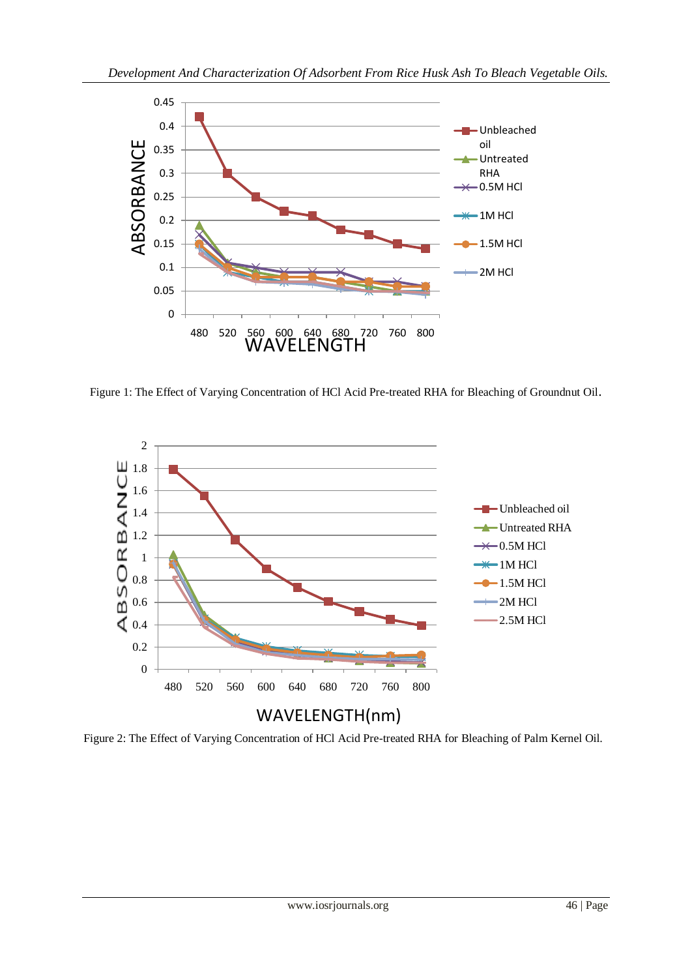

Figure 1: The Effect of Varying Concentration of HCl Acid Pre-treated RHA for Bleaching of Groundnut Oil.



Figure 2: The Effect of Varying Concentration of HCl Acid Pre-treated RHA for Bleaching of Palm Kernel Oil.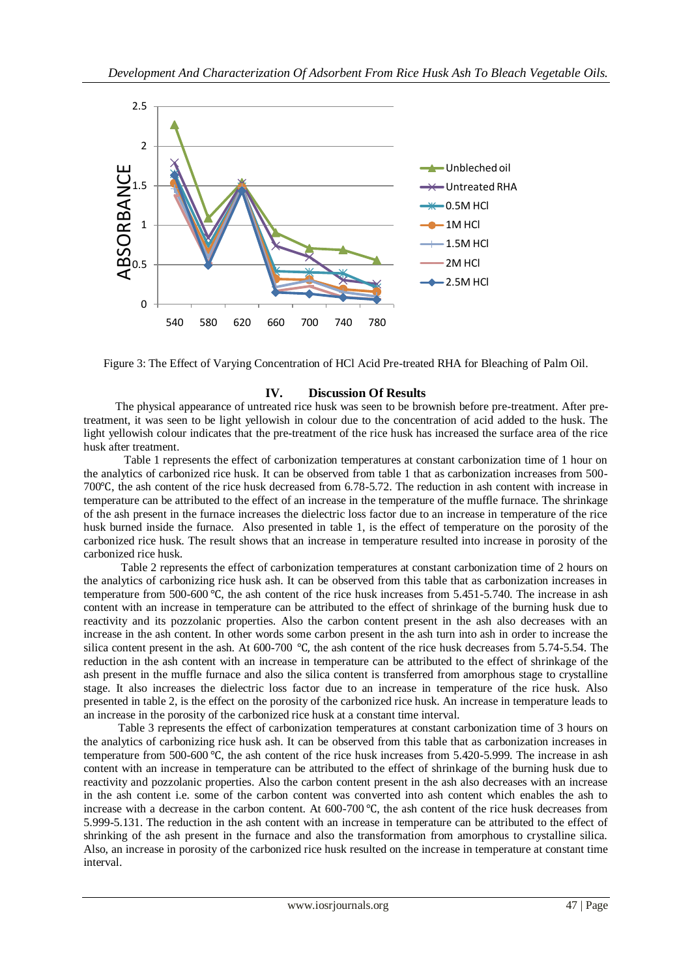

Figure 3: The Effect of Varying Concentration of HCl Acid Pre-treated RHA for Bleaching of Palm Oil.

# **IV. Discussion Of Results**

 The physical appearance of untreated rice husk was seen to be brownish before pre-treatment. After pretreatment, it was seen to be light yellowish in colour due to the concentration of acid added to the husk. The light yellowish colour indicates that the pre-treatment of the rice husk has increased the surface area of the rice husk after treatment.

 Table 1 represents the effect of carbonization temperatures at constant carbonization time of 1 hour on the analytics of carbonized rice husk. It can be observed from table 1 that as carbonization increases from 500- 700℃, the ash content of the rice husk decreased from 6.78-5.72. The reduction in ash content with increase in temperature can be attributed to the effect of an increase in the temperature of the muffle furnace. The shrinkage of the ash present in the furnace increases the dielectric loss factor due to an increase in temperature of the rice husk burned inside the furnace. Also presented in table 1, is the effect of temperature on the porosity of the carbonized rice husk. The result shows that an increase in temperature resulted into increase in porosity of the carbonized rice husk.

 Table 2 represents the effect of carbonization temperatures at constant carbonization time of 2 hours on the analytics of carbonizing rice husk ash. It can be observed from this table that as carbonization increases in temperature from 500-600 ℃, the ash content of the rice husk increases from 5.451-5.740. The increase in ash content with an increase in temperature can be attributed to the effect of shrinkage of the burning husk due to reactivity and its pozzolanic properties. Also the carbon content present in the ash also decreases with an increase in the ash content. In other words some carbon present in the ash turn into ash in order to increase the silica content present in the ash. At 600-700 ℃, the ash content of the rice husk decreases from 5.74-5.54. The reduction in the ash content with an increase in temperature can be attributed to the effect of shrinkage of the ash present in the muffle furnace and also the silica content is transferred from amorphous stage to crystalline stage. It also increases the dielectric loss factor due to an increase in temperature of the rice husk. Also presented in table 2, is the effect on the porosity of the carbonized rice husk. An increase in temperature leads to an increase in the porosity of the carbonized rice husk at a constant time interval.

 Table 3 represents the effect of carbonization temperatures at constant carbonization time of 3 hours on the analytics of carbonizing rice husk ash. It can be observed from this table that as carbonization increases in temperature from 500-600 ℃, the ash content of the rice husk increases from 5.420-5.999. The increase in ash content with an increase in temperature can be attributed to the effect of shrinkage of the burning husk due to reactivity and pozzolanic properties. Also the carbon content present in the ash also decreases with an increase in the ash content i.e. some of the carbon content was converted into ash content which enables the ash to increase with a decrease in the carbon content. At 600-700 ℃, the ash content of the rice husk decreases from 5.999-5.131. The reduction in the ash content with an increase in temperature can be attributed to the effect of shrinking of the ash present in the furnace and also the transformation from amorphous to crystalline silica. Also, an increase in porosity of the carbonized rice husk resulted on the increase in temperature at constant time interval.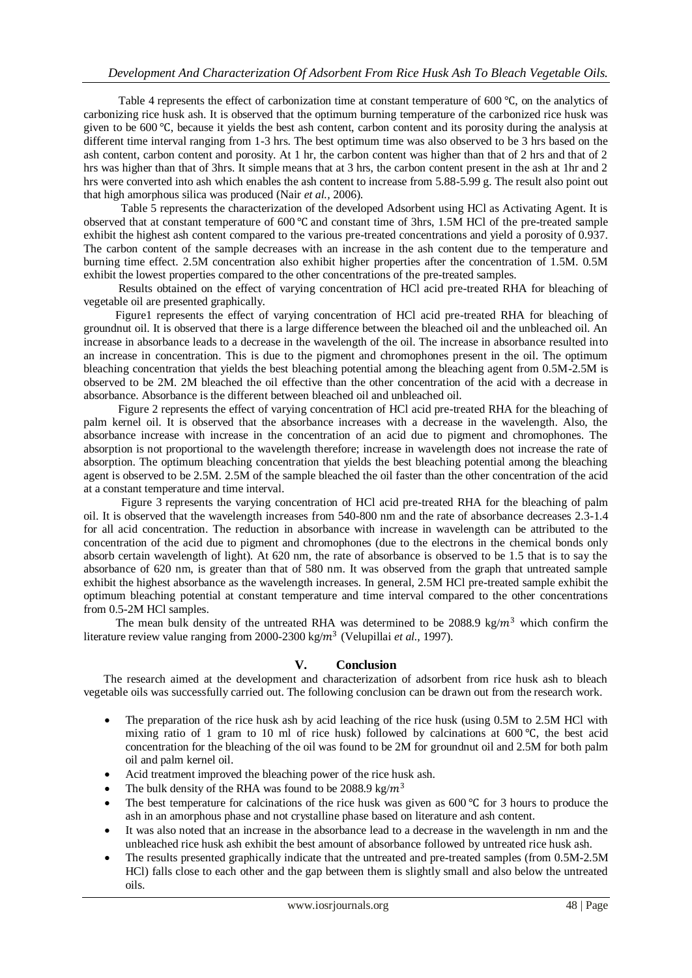Table 4 represents the effect of carbonization time at constant temperature of 600 °C, on the analytics of carbonizing rice husk ash. It is observed that the optimum burning temperature of the carbonized rice husk was given to be 600 ℃, because it yields the best ash content, carbon content and its porosity during the analysis at different time interval ranging from 1-3 hrs. The best optimum time was also observed to be 3 hrs based on the ash content, carbon content and porosity. At 1 hr, the carbon content was higher than that of 2 hrs and that of 2 hrs was higher than that of 3hrs. It simple means that at 3 hrs, the carbon content present in the ash at 1hr and 2 hrs were converted into ash which enables the ash content to increase from 5.88-5.99 g. The result also point out that high amorphous silica was produced (Nair *et al.,* 2006).

 Table 5 represents the characterization of the developed Adsorbent using HCl as Activating Agent. It is observed that at constant temperature of 600 ℃ and constant time of 3hrs, 1.5M HCl of the pre-treated sample exhibit the highest ash content compared to the various pre-treated concentrations and yield a porosity of 0.937. The carbon content of the sample decreases with an increase in the ash content due to the temperature and burning time effect. 2.5M concentration also exhibit higher properties after the concentration of 1.5M. 0.5M exhibit the lowest properties compared to the other concentrations of the pre-treated samples.

 Results obtained on the effect of varying concentration of HCl acid pre-treated RHA for bleaching of vegetable oil are presented graphically.

 Figure1 represents the effect of varying concentration of HCl acid pre-treated RHA for bleaching of groundnut oil. It is observed that there is a large difference between the bleached oil and the unbleached oil. An increase in absorbance leads to a decrease in the wavelength of the oil. The increase in absorbance resulted into an increase in concentration. This is due to the pigment and chromophones present in the oil. The optimum bleaching concentration that yields the best bleaching potential among the bleaching agent from 0.5M-2.5M is observed to be 2M. 2M bleached the oil effective than the other concentration of the acid with a decrease in absorbance. Absorbance is the different between bleached oil and unbleached oil.

 Figure 2 represents the effect of varying concentration of HCl acid pre-treated RHA for the bleaching of palm kernel oil. It is observed that the absorbance increases with a decrease in the wavelength. Also, the absorbance increase with increase in the concentration of an acid due to pigment and chromophones. The absorption is not proportional to the wavelength therefore; increase in wavelength does not increase the rate of absorption. The optimum bleaching concentration that yields the best bleaching potential among the bleaching agent is observed to be 2.5M. 2.5M of the sample bleached the oil faster than the other concentration of the acid at a constant temperature and time interval.

 Figure 3 represents the varying concentration of HCl acid pre-treated RHA for the bleaching of palm oil. It is observed that the wavelength increases from 540-800 nm and the rate of absorbance decreases 2.3-1.4 for all acid concentration. The reduction in absorbance with increase in wavelength can be attributed to the concentration of the acid due to pigment and chromophones (due to the electrons in the chemical bonds only absorb certain wavelength of light). At 620 nm, the rate of absorbance is observed to be 1.5 that is to say the absorbance of 620 nm, is greater than that of 580 nm. It was observed from the graph that untreated sample exhibit the highest absorbance as the wavelength increases. In general, 2.5M HCl pre-treated sample exhibit the optimum bleaching potential at constant temperature and time interval compared to the other concentrations from 0.5-2M HCl samples.

The mean bulk density of the untreated RHA was determined to be 2088.9 kg/ $m<sup>3</sup>$  which confirm the literature review value ranging from 2000-2300 kg/m<sup>3</sup> (Velupillai et al., 1997).

# **V. Conclusion**

 The research aimed at the development and characterization of adsorbent from rice husk ash to bleach vegetable oils was successfully carried out. The following conclusion can be drawn out from the research work.

- The preparation of the rice husk ash by acid leaching of the rice husk (using 0.5M to 2.5M HCl with mixing ratio of 1 gram to 10 ml of rice husk) followed by calcinations at 600 ℃, the best acid concentration for the bleaching of the oil was found to be 2M for groundnut oil and 2.5M for both palm oil and palm kernel oil.
- Acid treatment improved the bleaching power of the rice husk ash.
- The bulk density of the RHA was found to be 2088.9 kg/ $m<sup>3</sup>$
- The best temperature for calcinations of the rice husk was given as 600 ℃ for 3 hours to produce the ash in an amorphous phase and not crystalline phase based on literature and ash content.
- It was also noted that an increase in the absorbance lead to a decrease in the wavelength in nm and the unbleached rice husk ash exhibit the best amount of absorbance followed by untreated rice husk ash.
- The results presented graphically indicate that the untreated and pre-treated samples (from 0.5M-2.5M HCl) falls close to each other and the gap between them is slightly small and also below the untreated oils.